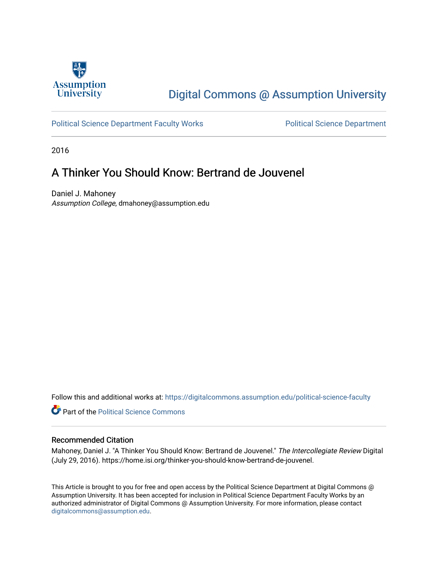

## [Digital Commons @ Assumption University](https://digitalcommons.assumption.edu/)

[Political Science Department Faculty Works](https://digitalcommons.assumption.edu/political-science-faculty) **Political Science Department** 

2016

### A Thinker You Should Know: Bertrand de Jouvenel

Daniel J. Mahoney Assumption College, dmahoney@assumption.edu

Follow this and additional works at: [https://digitalcommons.assumption.edu/political-science-faculty](https://digitalcommons.assumption.edu/political-science-faculty?utm_source=digitalcommons.assumption.edu%2Fpolitical-science-faculty%2F21&utm_medium=PDF&utm_campaign=PDFCoverPages)

**Part of the Political Science Commons** 

#### Recommended Citation

Mahoney, Daniel J. "A Thinker You Should Know: Bertrand de Jouvenel." The Intercollegiate Review Digital (July 29, 2016). https://home.isi.org/thinker-you-should-know-bertrand-de-jouvenel.

This Article is brought to you for free and open access by the Political Science Department at Digital Commons @ Assumption University. It has been accepted for inclusion in Political Science Department Faculty Works by an authorized administrator of Digital Commons @ Assumption University. For more information, please contact [digitalcommons@assumption.edu](mailto:digitalcommons@assumption.edu).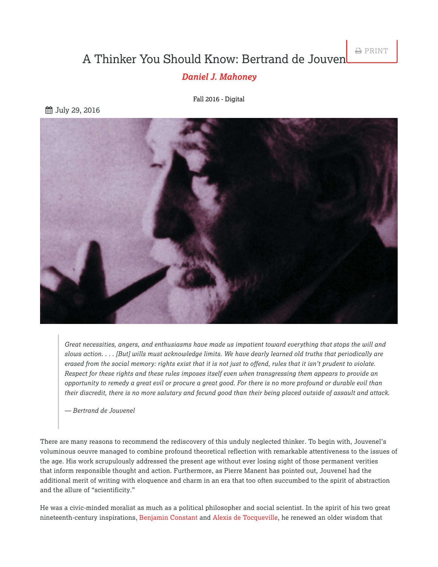# A Thinker You Should Know: Bertrand de Jouven

### *[Daniel J. Mahoney](https://home.isi.org/intercollegiate-review/author/2386)*

Fall 2016 - [Digital](https://home.isi.org/journal-issue/fall-2016-digital)

**篇 July 29, 2016** 



*Great necessities, angers, and enthusiasms have made us impatient toward everything that stops the will and* slows action. . . . [But] wills must acknowledge limits. We have dearly learned old truths that periodically are erased from the social memory: rights exist that it is not just to offend, rules that it isn't prudent to violate. Respect for these rights and these rules imposes itself even when transgressing them appears to provide an opportunity to remedy a great evil or procure a great good. For there is no more profound or durable evil than their discredit, there is no more salutary and fecund good than their being placed outside of assault and attack.

*— Bertrand de Jouvenel*

There are many reasons to recommend the rediscovery of this unduly neglected thinker. To begin with, Jouvenel's voluminous oeuvre managed to combine profound theoretical reflection with remarkable attentiveness to the issues of the age. His work scrupulously addressed the present age without ever losing sight of those permanent verities that inform responsible thought and action. Furthermore, as Pierre Manent has pointed out, Jouvenel had the additional merit of writing with eloquence and charm in an era that too often succumbed to the spirit of abstraction and the allure of "scientificity."

He was a civic-minded moralist as much as a political philosopher and social scientist. In the spirit of his two great nineteenth-century inspirations, [Benjamin](https://www.britannica.com/biography/Benjamin-Constant) Constant and Alexis de [Tocqueville](https://www.britannica.com/biography/Alexis-de-Tocqueville), he renewed an older wisdom that

**A** PRINT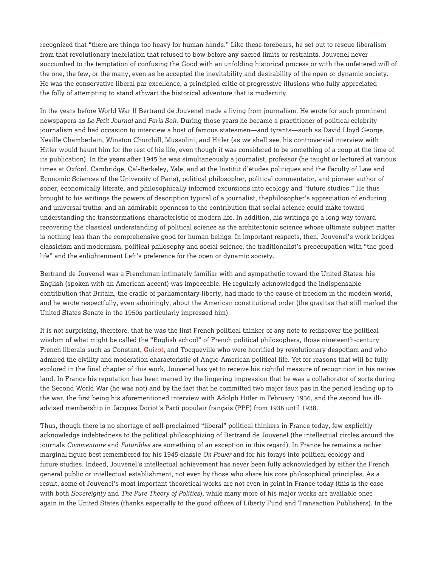recognized that "there are things too heavy for human hands." Like these forebears, he set out to rescue liberalism from that revolutionary inebriation that refused to bow before any sacred limits or restraints. Jouvenel never succumbed to the temptation of confusing the Good with an unfolding historical process or with the unfettered will of the one, the few, or the many, even as he accepted the inevitability and desirability of the open or dynamic society. He was the conservative liberal par excellence, a principled critic of progressive illusions who fully appreciated the folly of attempting to stand athwart the historical adventure that is modernity.

In the years before World War II Bertrand de Jouvenel made a living from journalism. He wrote for such prominent newspapers as *Le Petit Journal* and *Paris Soir*. During those years he became a practitioner of political celebrity journalism and had occasion to interview a host of famous statesmen—and tyrants—such as David Lloyd George, Neville Chamberlain, Winston Churchill, Mussolini, and Hitler (as we shall see, his controversial interview with Hitler would haunt him for the rest of his life, even though it was considered to be something of a coup at the time of its publication). In the years after 1945 he was simultaneously a journalist, professor (he taught or lectured at various times at Oxford, Cambridge, Cal-Berkeley, Yale, and at the Institut d'études politiques and the Faculty of Law and Economic Sciences of the University of Paris), political philosopher, political commentator, and pioneer author of sober, economically literate, and philosophically informed excursions into ecology and "future studies." He thus brought to his writings the powers of description typical of a journalist, thephilosopher's appreciation of enduring and universal truths, and an admirable openness to the contribution that social science could make toward understanding the transformations characteristic of modern life. In addition, his writings go a long way toward recovering the classical understanding of political science as the architectonic science whose ultimate subject matter is nothing less than the comprehensive good for human beings. In important respects, then, Jouvenel's work bridges classicism and modernism, political philosophy and social science, the traditionalist's preoccupation with "the good life" and the enlightenment Left's preference for the open or dynamic society.

Bertrand de Jouvenel was a Frenchman intimately familiar with and sympathetic toward the United States; his English (spoken with an American accent) was impeccable. He regularly acknowledged the indispensable contribution that Britain, the cradle of parliamentary liberty, had made to the cause of freedom in the modern world, and he wrote respectfully, even admiringly, about the American constitutional order (the gravitas that still marked the United States Senate in the 1950s particularly impressed him).

It is not surprising, therefore, that he was the first French political thinker of any note to rediscover the political wisdom of what might be called the "English school" of French political philosophers, those nineteenth-century French liberals such as Constant, [Guizot](https://www.britannica.com/biography/Francois-Guizot), and Tocqueville who were horrified by revolutionary despotism and who admired the civility and moderation characteristic of Anglo-American political life. Yet for reasons that will be fully explored in the final chapter of this work, Jouvenel has yet to receive his rightful measure of recognition in his native land. In France his reputation has been marred by the lingering impression that he was a collaborator of sorts during the Second World War (he was not) and by the fact that he committed two major faux pas in the period leading up to the war, the first being his aforementioned interview with Adolph Hitler in February 1936, and the second his illadvised membership in Jacques Doriot's Parti populair français (PPF) from 1936 until 1938.

Thus, though there is no shortage of self-proclaimed "liberal" political thinkers in France today, few explicitly acknowledge indebtedness to the political philosophizing of Bertrand de Jouvenel (the intellectual circles around the journals *Commentaire* and *Futuribles* are something of an exception in this regard). In France he remains a rather marginal figure best remembered for his 1945 classic *On Power* and for his forays into political ecology and future studies. Indeed, Jouvenel's intellectual achievement has never been fully acknowledged by either the French general public or intellectual establishment, not even by those who share his core philosophical principles. As a result, some of Jouvenel's most important theoretical works are not even in print in France today (this is the case with both *Sovereignty* and *The Pure Theory of Politics*), while many more of his major works are available once again in the United States (thanks especially to the good offices of Liberty Fund and Transaction Publishers). In the